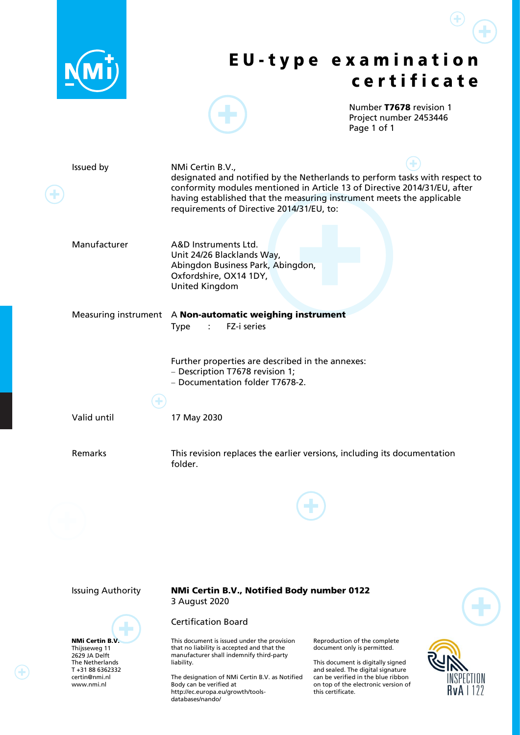

NMi Certin B.V. Thijsseweg 11 2629 JA Delft The Netherlands T +31 88 6362332 certin@nmi.nl www.nmi.nl

#### Issuing Authority NMi Certin B.V., Notified Body number 0122 3 August 2020

#### Certification Board

This document is issued under the provision that no liability is accepted and that the manufacturer shall indemnify third-party liability.

The designation of NMi Certin B.V. as Notified Body can be verified at http://ec.europa.eu/growth/toolsdatabases/nando/

Reproduction of the complete document only is permitted.

This document is digitally signed and sealed. The digital signature can be verified in the blue ribbon on top of the electronic version of this certificate.

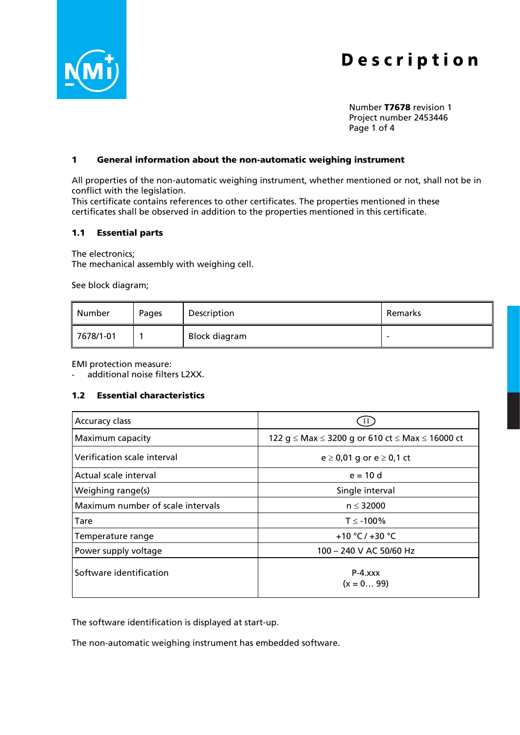

Number T7678 revision 1 Project number 2453446 Page 1 of 4

#### 1 General information about the non-automatic weighing instrument

All properties of the non-automatic weighing instrument, whether mentioned or not, shall not be in conflict with the legislation.

This certificate contains references to other certificates. The properties mentioned in these certificates shall be observed in addition to the properties mentioned in this certificate.

#### 1.1 Essential parts

The electronics;

The mechanical assembly with weighing cell.

See block diagram;

| ll Number             | Pages | Description   | Remarks                  |
|-----------------------|-------|---------------|--------------------------|
| $\parallel$ 7678/1-01 |       | Block diagram | $\overline{\phantom{0}}$ |

EMI protection measure:

additional noise filters L2XX.

#### 1.2 Essential characteristics

| Accuracy class                    |                                                 |
|-----------------------------------|-------------------------------------------------|
| Maximum capacity                  | 122 g ≤ Max ≤ 3200 g or 610 ct ≤ Max ≤ 16000 ct |
| Verification scale interval       | $e \ge 0.01$ g or $e \ge 0.1$ ct                |
| Actual scale interval             | $e = 10$ d                                      |
| Weighing range(s)                 | Single interval                                 |
| Maximum number of scale intervals | $n \leq 32000$                                  |
| Tare                              | $T \le -100\%$                                  |
| Temperature range                 | +10 °C / +30 °C                                 |
| Power supply voltage              | 100 - 240 V AC 50/60 Hz                         |
| Software identification           | $P-4.xxx$<br>$(x = 099)$                        |

The software identification is displayed at start-up.

The non-automatic weighing instrument has embedded software.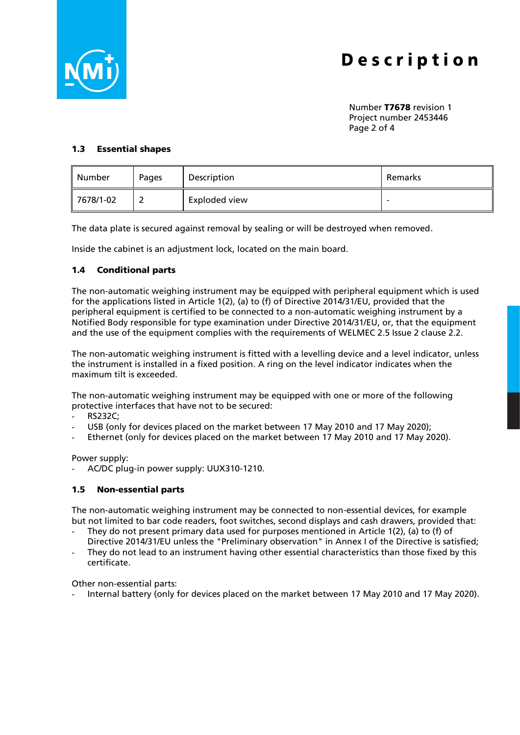

Number T7678 revision 1 Project number 2453446 Page 2 of 4

#### 1.3 Essential shapes

| Number                | Pages    | Description   | Remarks |
|-----------------------|----------|---------------|---------|
| $\parallel$ 7678/1-02 | <u>_</u> | Exploded view | ۰       |

The data plate is secured against removal by sealing or will be destroyed when removed.

Inside the cabinet is an adjustment lock, located on the main board.

### 1.4 Conditional parts

The non-automatic weighing instrument may be equipped with peripheral equipment which is used for the applications listed in Article 1(2), (a) to (f) of Directive 2014/31/EU, provided that the peripheral equipment is certified to be connected to a non-automatic weighing instrument by a Notified Body responsible for type examination under Directive 2014/31/EU, or, that the equipment and the use of the equipment complies with the requirements of WELMEC 2.5 Issue 2 clause 2.2.

The non-automatic weighing instrument is fitted with a levelling device and a level indicator, unless the instrument is installed in a fixed position. A ring on the level indicator indicates when the maximum tilt is exceeded.

The non-automatic weighing instrument may be equipped with one or more of the following protective interfaces that have not to be secured:

- RS232C;
- USB (only for devices placed on the market between 17 May 2010 and 17 May 2020);
- Ethernet (only for devices placed on the market between 17 May 2010 and 17 May 2020).

Power supply:

- AC/DC plug-in power supply: UUX310-1210.

#### 1.5 Non-essential parts

The non-automatic weighing instrument may be connected to non-essential devices, for example but not limited to bar code readers, foot switches, second displays and cash drawers, provided that:

- They do not present primary data used for purposes mentioned in Article 1(2), (a) to (f) of Directive 2014/31/EU unless the "Preliminary observation" in Annex I of the Directive is satisfied;
- They do not lead to an instrument having other essential characteristics than those fixed by this certificate.

Other non-essential parts:

Internal battery (only for devices placed on the market between 17 May 2010 and 17 May 2020).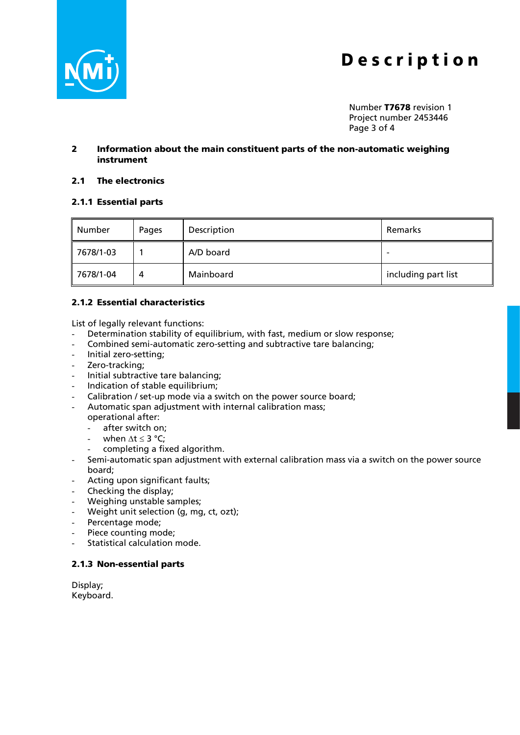

Number T7678 revision 1 Project number 2453446 Page 3 of 4

#### 2 Information about the main constituent parts of the non-automatic weighing instrument

#### 2.1 The electronics

### 2.1.1 Essential parts

| Number    | Pages | Description | Remarks                  |
|-----------|-------|-------------|--------------------------|
| 7678/1-03 |       | A/D board   | $\overline{\phantom{a}}$ |
| 7678/1-04 | 4     | Mainboard   | including part list      |

### 2.1.2 Essential characteristics

List of legally relevant functions:

- Determination stability of equilibrium, with fast, medium or slow response;
- Combined semi-automatic zero-setting and subtractive tare balancing;
- Initial zero-setting;
- Zero-tracking;
- Initial subtractive tare balancing;
- Indication of stable equilibrium;
- Calibration / set-up mode via a switch on the power source board;
- Automatic span adjustment with internal calibration mass;

operational after:

- after switch on;
- when  $\Lambda t \leq 3$  °C:
- completing a fixed algorithm.
- Semi-automatic span adjustment with external calibration mass via a switch on the power source board;
- Acting upon significant faults;
- Checking the display;
- Weighing unstable samples;
- Weight unit selection (g, mg, ct, ozt);
- Percentage mode;
- Piece counting mode;
- Statistical calculation mode.

#### 2.1.3 Non-essential parts

Display; Keyboard.